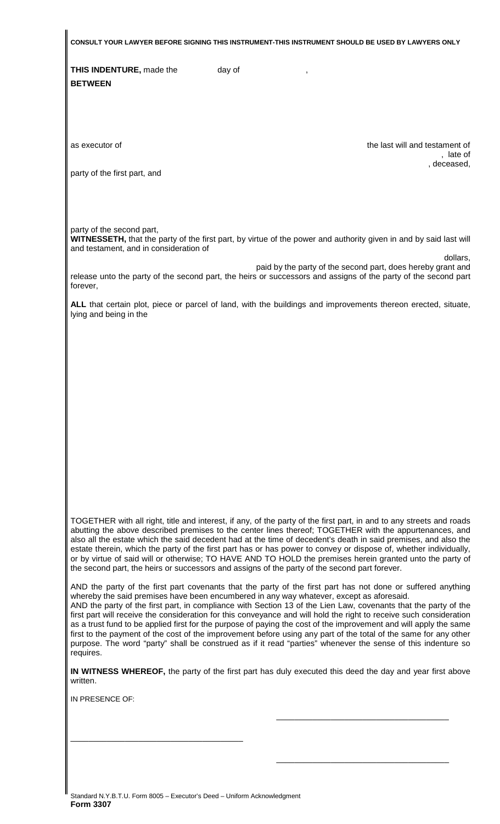**CONSULT YOUR LAWYER BEFORE SIGNING THIS INSTRUMENT-THIS INSTRUMENT SHOULD BE USED BY LAWYERS ONLY** 

**THIS INDENTURE, made the day of day of and day of and day of**  $\frac{1}{2}$ **BETWEEN**

as executor of the last will and testament of , late of , deceased,

party of the first part, and

party of the second part,

**WITNESSETH,** that the party of the first part, by virtue of the power and authority given in and by said last will and testament, and in consideration of

dollars,

paid by the party of the second part, does hereby grant and release unto the party of the second part, the heirs or successors and assigns of the party of the second part forever,

**ALL** that certain plot, piece or parcel of land, with the buildings and improvements thereon erected, situate, lying and being in the

TOGETHER with all right, title and interest, if any, of the party of the first part, in and to any streets and roads abutting the above described premises to the center lines thereof; TOGETHER with the appurtenances, and also all the estate which the said decedent had at the time of decedent's death in said premises, and also the estate therein, which the party of the first part has or has power to convey or dispose of, whether individually, or by virtue of said will or otherwise; TO HAVE AND TO HOLD the premises herein granted unto the party of the second part, the heirs or successors and assigns of the party of the second part forever.

AND the party of the first part covenants that the party of the first part has not done or suffered anything whereby the said premises have been encumbered in any way whatever, except as aforesaid. AND the party of the first part, in compliance with Section 13 of the Lien Law, covenants that the party of the

first part will receive the consideration for this conveyance and will hold the right to receive such consideration as a trust fund to be applied first for the purpose of paying the cost of the improvement and will apply the same first to the payment of the cost of the improvement before using any part of the total of the same for any other purpose. The word "party" shall be construed as if it read "parties" whenever the sense of this indenture so requires.

**IN WITNESS WHEREOF,** the party of the first part has duly executed this deed the day and year first above written.

 $\frac{1}{\sqrt{2}}$  ,  $\frac{1}{\sqrt{2}}$  ,  $\frac{1}{\sqrt{2}}$  ,  $\frac{1}{\sqrt{2}}$  ,  $\frac{1}{\sqrt{2}}$  ,  $\frac{1}{\sqrt{2}}$  ,  $\frac{1}{\sqrt{2}}$  ,  $\frac{1}{\sqrt{2}}$  ,  $\frac{1}{\sqrt{2}}$  ,  $\frac{1}{\sqrt{2}}$  ,  $\frac{1}{\sqrt{2}}$  ,  $\frac{1}{\sqrt{2}}$  ,  $\frac{1}{\sqrt{2}}$  ,  $\frac{1}{\sqrt{2}}$  ,  $\frac{1}{\sqrt{2}}$ 

 $\overline{\phantom{a}}$  , and the state of the state of the state of the state of the state of the state of the state of the state of the state of the state of the state of the state of the state of the state of the state of the stat

IN PRESENCE OF:

\_\_\_\_\_\_\_\_\_\_\_\_\_\_\_\_\_\_\_\_\_\_\_\_\_\_\_\_\_\_\_\_\_\_\_\_\_\_